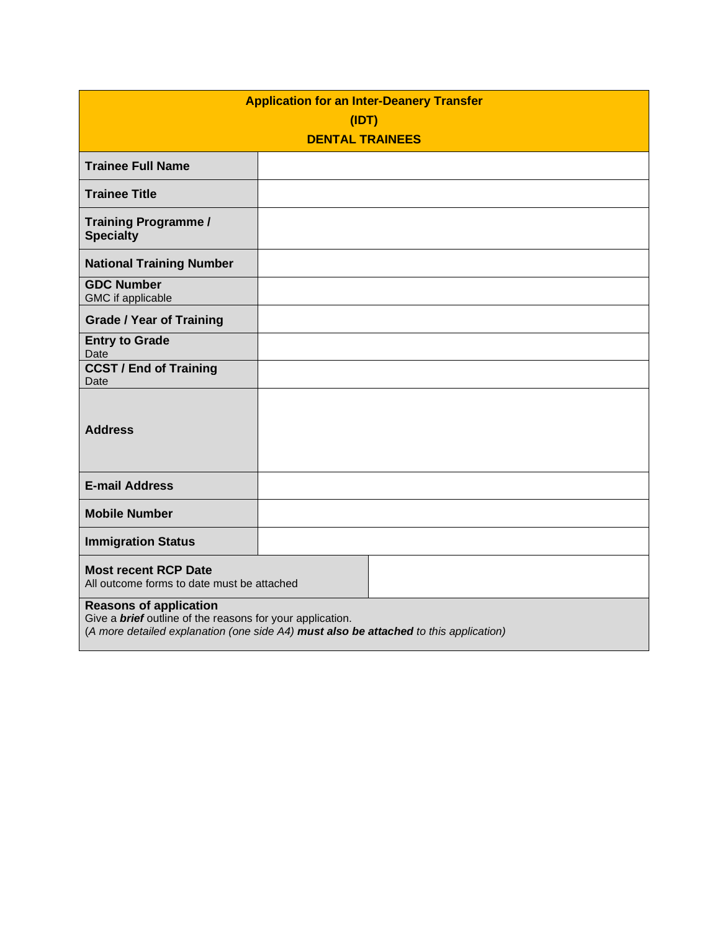| <b>Application for an Inter-Deanery Transfer</b>                                                                                                                                           |  |  |  |  |
|--------------------------------------------------------------------------------------------------------------------------------------------------------------------------------------------|--|--|--|--|
| (IDT)<br><b>DENTAL TRAINEES</b>                                                                                                                                                            |  |  |  |  |
| <b>Trainee Full Name</b>                                                                                                                                                                   |  |  |  |  |
| <b>Trainee Title</b>                                                                                                                                                                       |  |  |  |  |
| <b>Training Programme /</b><br><b>Specialty</b>                                                                                                                                            |  |  |  |  |
| <b>National Training Number</b>                                                                                                                                                            |  |  |  |  |
| <b>GDC Number</b><br>GMC if applicable                                                                                                                                                     |  |  |  |  |
| <b>Grade / Year of Training</b>                                                                                                                                                            |  |  |  |  |
| <b>Entry to Grade</b><br>Date                                                                                                                                                              |  |  |  |  |
| <b>CCST / End of Training</b><br>Date                                                                                                                                                      |  |  |  |  |
| <b>Address</b>                                                                                                                                                                             |  |  |  |  |
| <b>E-mail Address</b>                                                                                                                                                                      |  |  |  |  |
| <b>Mobile Number</b>                                                                                                                                                                       |  |  |  |  |
| <b>Immigration Status</b>                                                                                                                                                                  |  |  |  |  |
| <b>Most recent RCP Date</b><br>All outcome forms to date must be attached                                                                                                                  |  |  |  |  |
| <b>Reasons of application</b><br>Give a <b>brief</b> outline of the reasons for your application.<br>(A more detailed explanation (one side A4) must also be attached to this application) |  |  |  |  |